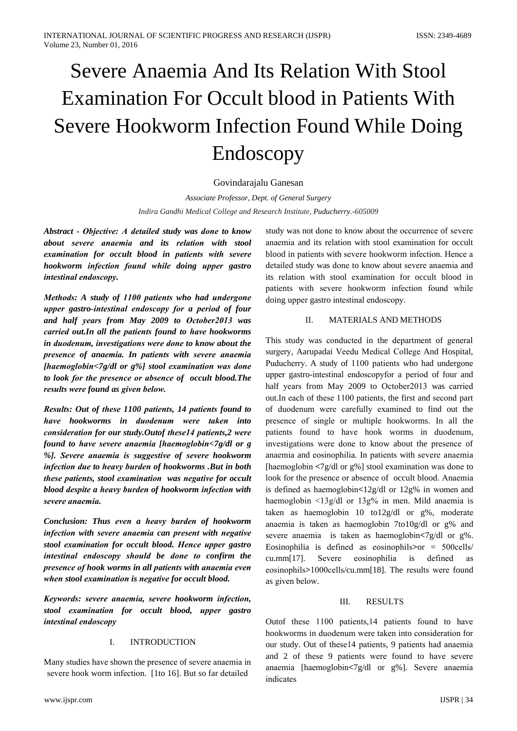# Severe Anaemia And Its Relation With Stool **Examination For Occult blood in Patients With** Severe Hookworm Infection Found While Doing Endoscopy

## Govindarajalu Ganesan

Associate Professor, Dept. of General Surgery Indira Gandhi Medical College and Research Institute, Puducherry.-605009

Abstract - Objective: A detailed study was done to know about severe anaemia and its relation with stool examination for occult blood in patients with severe hookworm infection found while doing upper gastro intestinal endoscopy.

Methods: A study of 1100 patients who had undergone upper gastro-intestinal endoscopy for a period of four and half years from May 2009 to October2013 was carried out. In all the patients found to have hookworms in duodenum, investigations were done to know about the presence of anaemia. In patients with severe anaemia [haemoglobin<7g/dl or  $g\%$ ] stool examination was done to look for the presence or absence of occult blood. The results were found as given below.

Results: Out of these 1100 patients, 14 patients found to have hookworms in duodenum were taken into consideration for our study. Outof these14 patients, 2 were found to have severe anaemia [haemoglobin<7g/dl or g %]. Severe anaemia is suggestive of severe hookworm infection due to heavy burden of hookworms .But in both these patients, stool examination was negative for occult blood despite a heavy burden of hookworm infection with severe anaemia.

Conclusion: Thus even a heavy burden of hookworm infection with severe anaemia can present with negative stool examination for occult blood. Hence upper gastro intestinal endoscopy should be done to confirm the presence of hook worms in all patients with anaemia even when stool examination is negative for occult blood.

Keywords: severe anaemia, severe hookworm infection, stool examination for occult blood, upper gastro intestinal endoscopy

## $\mathbf{L}$ **INTRODUCTION**

Many studies have shown the presence of severe anaemia in severe hook worm infection. [1to 16]. But so far detailed

study was not done to know about the occurrence of severe anaemia and its relation with stool examination for occult blood in patients with severe hookworm infection. Hence a detailed study was done to know about severe anaemia and its relation with stool examination for occult blood in patients with severe hookworm infection found while doing upper gastro intestinal endoscopy.

## $\Pi$ **MATERIALS AND METHODS**

This study was conducted in the department of general surgery, Aarupadai Veedu Medical College And Hospital, Puducherry. A study of 1100 patients who had undergone upper gastro-intestinal endoscopyfor a period of four and half years from May 2009 to October2013 was carried out. In each of these 1100 patients, the first and second part of duodenum were carefully examined to find out the presence of single or multiple hookworms. In all the patients found to have hook worms in duodenum, investigations were done to know about the presence of anaemia and eosinophilia. In patients with severe anaemia [haemoglobin  $\langle 7g/dl \rangle$  or g%] stool examination was done to look for the presence or absence of occult blood. Anaemia is defined as haemoglobin $\lt 12g/dl$  or  $12g\%$  in women and haemoglobin  $\langle 13g/dl \rangle$  or  $13g\%$  in men. Mild anaemia is taken as haemoglobin 10 to12g/dl or g%, moderate anaemia is taken as haemoglobin 7to10g/dl or g% and severe anaemia is taken as haemoglobin<7g/dl or g%. Eosinophilia is defined as eosinophils $>$ or = 500 cells/  $cu.mm[17]$ . Severe eosinophilia is defined  $-$ as eosinophils>1000cells/cu.mm[18]. The results were found as given below.

#### III. **RESULTS**

Outof these 1100 patients, 14 patients found to have hookworms in duodenum were taken into consideration for our study. Out of these14 patients, 9 patients had anaemia and 2 of these 9 patients were found to have severe anaemia [haemoglobin<7g/dl or g%]. Severe anaemia indicates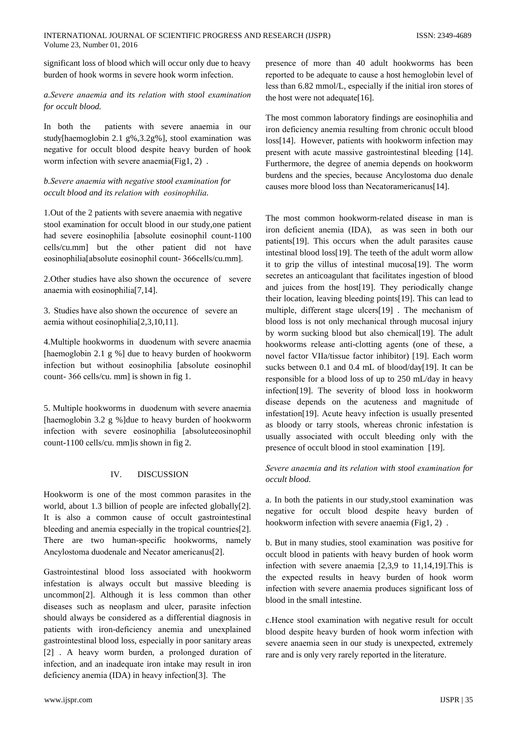significant loss of blood which will occur only due to heavy burden of hook worms in severe hook worm infection.

## a. Severe anaemia and its relation with stool examination for occult blood.

In both the patients with severe anaemia in our study[haemoglobin 2.1 g%,3.2g%], stool examination was negative for occult blood despite heavy burden of hook worm infection with severe anaemia(Fig1, 2).

## b. Severe anaemia with negative stool examination for occult blood and its relation with eosinophilia.

1. Out of the 2 patients with severe anaemia with negative stool examination for occult blood in our study, one patient had severe eosinophilia [absolute eosinophil count-1100] cells/cu.mm] but the other patient did not have eosinophilia[absolute eosinophil count-366cells/cu.mm].

2. Other studies have also shown the occurence of severe anaemia with eosinophilia<sup>[7,14]</sup>.

3. Studies have also shown the occurence of severe an aemia without eosinophilia<sup>[2,3,10,11]</sup>.

4. Multiple hookworms in duodenum with severe anaemia [haemoglobin 2.1 g %] due to heavy burden of hookworm infection but without eosinophilia [absolute eosinophil count-366 cells/cu. mm] is shown in fig 1.

5. Multiple hookworms in duodenum with severe anaemia [haemoglobin 3.2 g %] due to heavy burden of hookworm infection with severe eosinophilia [absoluteeosinophil count-1100 cells/cu. mm lis shown in fig 2.

## IV. **DISCUSSION**

Hookworm is one of the most common parasites in the world, about 1.3 billion of people are infected globally[2]. It is also a common cause of occult gastrointestinal bleeding and anemia especially in the tropical countries[2]. There are two human-specific hookworms, namely Ancylostoma duodenale and Necator americanus[2].

Gastrointestinal blood loss associated with hookworm infestation is always occult but massive bleeding is uncommon<sup>[2]</sup>. Although it is less common than other diseases such as neoplasm and ulcer, parasite infection should always be considered as a differential diagnosis in patients with iron-deficiency anemia and unexplained gastrointestinal blood loss, especially in poor sanitary areas [2]. A heavy worm burden, a prolonged duration of infection, and an inadequate iron intake may result in iron deficiency anemia (IDA) in heavy infection[3]. The

presence of more than 40 adult hookworms has been reported to be adequate to cause a host hemoglobin level of less than 6.82 mmol/L, especially if the initial iron stores of the host were not adequate[16].

The most common laboratory findings are eosinophilia and iron deficiency anemia resulting from chronic occult blood loss[14]. However, patients with hookworm infection may present with acute massive gastrointestinal bleeding [14]. Furthermore, the degree of anemia depends on hookworm burdens and the species, because Ancylostoma duo denale causes more blood loss than Necatoramericanus[14].

The most common hookworm-related disease in man is iron deficient anemia (IDA), as was seen in both our patients[19]. This occurs when the adult parasites cause intestinal blood loss[19]. The teeth of the adult worm allow it to grip the villus of intestinal mucosa<sup>[19]</sup>. The worm secretes an anticoagulant that facilitates ingestion of blood and juices from the host[19]. They periodically change their location, leaving bleeding points[19]. This can lead to multiple, different stage ulcers[19]. The mechanism of blood loss is not only mechanical through mucosal injury by worm sucking blood but also chemical[19]. The adult hookworms release anti-clotting agents (one of these, a novel factor VIIa/tissue factor inhibitor) [19]. Each worm sucks between 0.1 and 0.4 mL of blood/day[19]. It can be responsible for a blood loss of up to 250 mL/day in heavy infection[19]. The severity of blood loss in hookworm disease depends on the acuteness and magnitude of infestation[19]. Acute heavy infection is usually presented as bloody or tarry stools, whereas chronic infestation is usually associated with occult bleeding only with the presence of occult blood in stool examination [19].

Severe anaemia and its relation with stool examination for occult blood.

a. In both the patients in our study, stool examination was negative for occult blood despite heavy burden of hookworm infection with severe anaemia (Fig1, 2).

b. But in many studies, stool examination was positive for occult blood in patients with heavy burden of hook worm infection with severe anaemia  $[2,3,9]$  to 11,14,19]. This is the expected results in heavy burden of hook worm infection with severe anaemia produces significant loss of blood in the small intestine.

c.Hence stool examination with negative result for occult blood despite heavy burden of hook worm infection with severe anaemia seen in our study is unexpected, extremely rare and is only very rarely reported in the literature.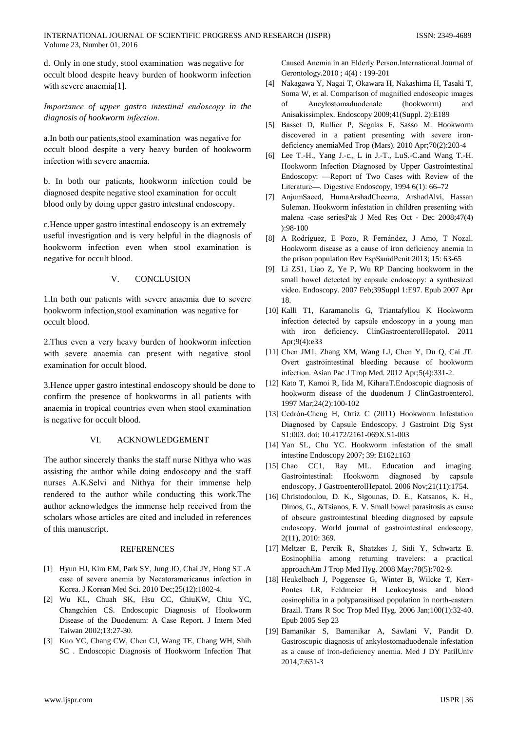d. Only in one study, stool examination was negative for occult blood despite heavy burden of hookworm infection with severe anaemia[1].

Importance of upper gastro intestinal endoscopy in the diagnosis of hookworm infection.

a.In both our patients, stool examination was negative for occult blood despite a very heavy burden of hookworm infection with severe anaemia.

b. In both our patients, hookworm infection could be diagnosed despite negative stool examination for occult blood only by doing upper gastro intestinal endoscopy.

c. Hence upper gastro intestinal endoscopy is an extremely useful investigation and is very helpful in the diagnosis of hookworm infection even when stool examination is negative for occult blood.

#### $V_{\cdot}$ **CONCLUSION**

1.In both our patients with severe anaemia due to severe hookworm infection, stool examination was negative for occult blood.

2. Thus even a very heavy burden of hookworm infection with severe anaemia can present with negative stool examination for occult blood.

3. Hence upper gastro intestinal endoscopy should be done to confirm the presence of hookworms in all patients with anaemia in tropical countries even when stool examination is negative for occult blood.

#### VI. **ACKNOWLEDGEMENT**

The author sincerely thanks the staff nurse Nithya who was assisting the author while doing endoscopy and the staff nurses A.K.Selvi and Nithya for their immense help rendered to the author while conducting this work. The author acknowledges the immense help received from the scholars whose articles are cited and included in references of this manuscript.

## **REFERENCES**

- [1] Hyun HJ, Kim EM, Park SY, Jung JO, Chai JY, Hong ST.A case of severe anemia by Necatoramericanus infection in Korea. J Korean Med Sci. 2010 Dec; 25(12): 1802-4.
- [2] Wu KL, Chuah SK, Hsu CC, ChiuKW, Chiu YC, Changchien CS. Endoscopic Diagnosis of Hookworm Disease of the Duodenum: A Case Report. J Intern Med Taiwan 2002;13:27-30.
- [3] Kuo YC, Chang CW, Chen CJ, Wang TE, Chang WH, Shih SC. Endoscopic Diagnosis of Hookworm Infection That

Caused Anemia in an Elderly Person.International Journal of Gerontology.2010; 4(4): 199-201

- [4] Nakagawa Y, Nagai T, Okawara H, Nakashima H, Tasaki T, Soma W, et al. Comparison of magnified endoscopic images Ancylostomaduodenale (hookworm) of and Anisakissimplex. Endoscopy 2009;41(Suppl. 2):E189
- [5] Basset D, Rullier P, Segalas F, Sasso M. Hookworm discovered in a patient presenting with severe irondeficiency anemiaMed Trop (Mars). 2010 Apr;70(2):203-4
- [6] Lee T.-H., Yang J.-c., L in J.-T., LuS.-C.and Wang T.-H. Hookworm Infection Diagnosed by Upper Gastrointestinal Endoscopy: - Report of Two Cases with Review of the Literature—. Digestive Endoscopy, 1994 6(1): 66-72
- [7] AnjumSaeed, HumaArshadCheema, ArshadAlvi, Hassan Suleman. Hookworm infestation in children presenting with malena -case seriesPak J Med Res Oct - Dec 2008;47(4)  $): 98-100$
- [8] A Rodríguez, E Pozo, R Fernández, J Amo, T Nozal. Hookworm disease as a cause of iron deficiency anemia in the prison population Rev EspSanidPenit 2013; 15: 63-65
- [9] Li ZS1, Liao Z, Ye P, Wu RP Dancing hookworm in the small bowel detected by capsule endoscopy: a synthesized video. Endoscopy. 2007 Feb;39Suppl 1:E97. Epub 2007 Apr 18.
- [10] Kalli T1, Karamanolis G, Triantafyllou K Hookworm infection detected by capsule endoscopy in a young man with iron deficiency. ClinGastroenterolHepatol. 2011 Apr;9(4):e33
- [11] Chen JM1, Zhang XM, Wang LJ, Chen Y, Du Q, Cai JT. Overt gastrointestinal bleeding because of hookworm infection. Asian Pac J Trop Med. 2012 Apr;5(4):331-2.
- [12] Kato T, Kamoi R, Iida M, KiharaT. Endoscopic diagnosis of hookworm disease of the duodenum J ClinGastroenterol. 1997 Mar; 24(2): 100-102
- [13] Cedrón-Cheng H, Ortiz C (2011) Hookworm Infestation Diagnosed by Capsule Endoscopy. J Gastroint Dig Syst S1:003. doi: 10.4172/2161-069X.S1-003
- [14] Yan SL, Chu YC. Hookworm infestation of the small intestine Endoscopy 2007; 39: E162 $\pm$ 163
- [15] Chao CC1, Ray ML. Education and imaging. Gastrointestinal: Hookworm diagnosed by capsule endoscopy. J GastroenterolHepatol. 2006 Nov;21(11):1754.
- [16] Christodoulou, D. K., Sigounas, D. E., Katsanos, K. H., Dimos, G., & Tsianos, E. V. Small bowel parasitosis as cause of obscure gastrointestinal bleeding diagnosed by capsule endoscopy. World journal of gastrointestinal endoscopy, 2(11), 2010: 369.
- [17] Meltzer E, Percik R, Shatzkes J, Sidi Y, Schwartz E. Eosinophilia among returning travelers: a practical approachAm J Trop Med Hyg. 2008 May;78(5):702-9.
- [18] Heukelbach J, Poggensee G, Winter B, Wilcke T, Kerr-Pontes LR, Feldmeier H Leukocytosis and blood eosinophilia in a polyparasitised population in north-eastern Brazil. Trans R Soc Trop Med Hyg. 2006 Jan;100(1):32-40. Epub 2005 Sep 23
- [19] Bamanikar S, Bamanikar A, Sawlani V, Pandit D. Gastroscopic diagnosis of ankylostomaduodenale infestation as a cause of iron-deficiency anemia. Med J DY PatilUniv 2014;7:631-3